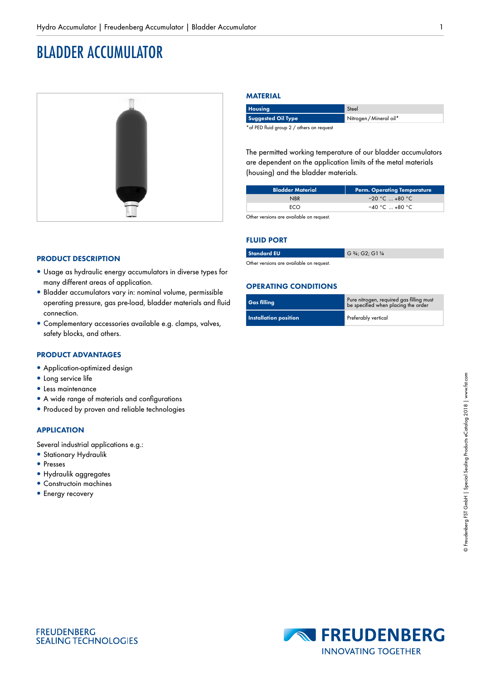# BLADDER ACCUMULATOR



# **MATERIAL**

| <b>Housing</b>                             | Steel                   |
|--------------------------------------------|-------------------------|
| <b>Suggested Oil Type</b>                  | Nitrogen / Mineral oil* |
| * of PED fluid group 2 / others on request |                         |

The permitted working temperature of our bladder accumulators are dependent on the application limits of the metal materials (housing) and the bladder materials.

| <b>Bladder Material</b> | Perm. Operating Temperature |
|-------------------------|-----------------------------|
| <b>NBR</b>              | $-20 °C$ $+80 °C$           |
| FCO.                    | $-40 °C$ $+80 °C$           |

Other versions are available on request.

#### **FLUID PORT**

| <b>Standard EU</b> | G $\frac{3}{4}$ ; G2; G1 $\frac{1}{4}$ |
|--------------------|----------------------------------------|
|                    |                                        |

ore available on request

#### **OPERATING CONDITIONS**

| <b>Gas filling</b>           | Pure nitrogen, required gas filling must<br>be specified when placing the order |
|------------------------------|---------------------------------------------------------------------------------|
| <b>Installation position</b> | Preferably vertical                                                             |

# **PRODUCT DESCRIPTION**

- Usage as hydraulic energy accumulators in diverse types for many different areas of application.
- · Bladder accumulators vary in: nominal volume, permissible operating pressure, gas pre-load, bladder materials and fluid connection.
- Complementary accessories available e.g. clamps, valves, safety blocks, and others.

#### **PRODUCT ADVANTAGES**

- Application-optimized design
- Long service life
- Less maintenance
- A wide range of materials and configurations
- Produced by proven and reliable technologies

#### **APPLICATION**

Several industrial applications e.g.:

- Stationary Hydraulik
- Presses
- · Hydraulik aggregates
- Constructoin machines
- Energy recovery